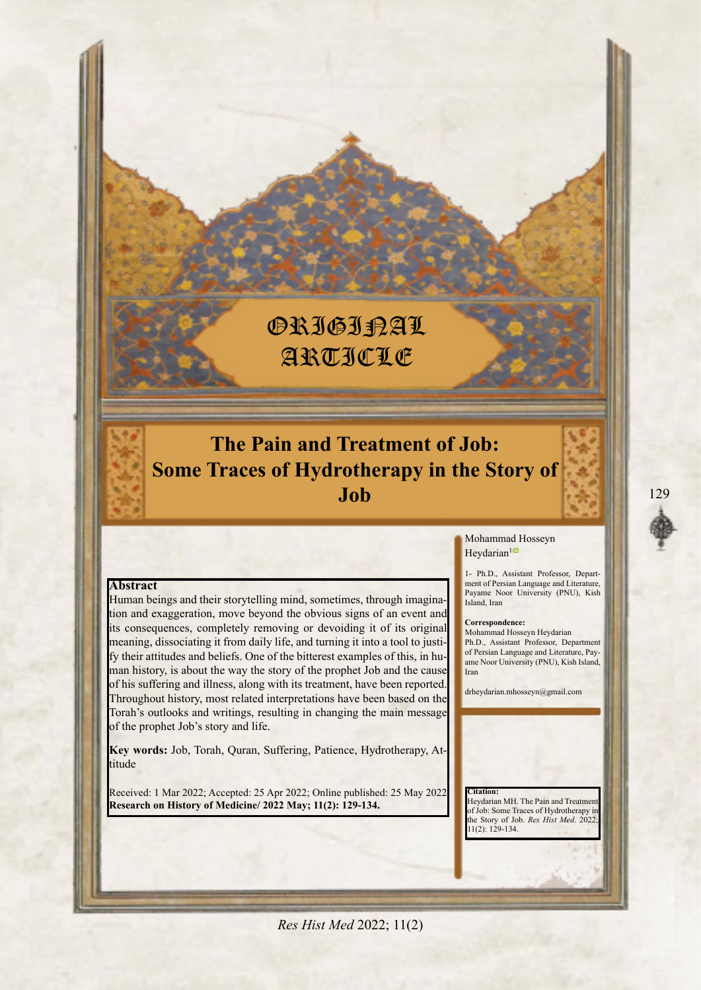# **ORIGIRAL** Article

# **The Pain and Treatment of Job: Some Traces of Hydrotherapy in the Story of Job**

# **Abstract**

tion and exaggeration, move beyond the obvious signs of an event and Human beings and their storytelling mind, sometimes, through imaginaits consequences, completely removing or devoiding it of its original man history, is about the way the story of the prophet Job and the cause fy their attitudes and beliefs. One of the bitterest examples of this, in humeaning, dissociating it from daily life, and turning it into a tool to justiof his suffering and illness, along with its treatment, have been reported Throughout history, most related interpretations have been based on the Torah's outlooks and writings, resulting in changing the main message of the prophet Job's story and life.

Key words: Job, Torah, Quran, Suffering, Patience, Hydrotherapy, Attitude

Received: 1 Mar 2022; Accepted: 25 Apr 2022; Online published: 25 May 2022 **Research on History of Medicine/ 2022 May; 11(2): 129-134.** 

#### Mohammad Hosseyn Heydarian<sup>1</sup><sup>o</sup>

ment of Persian Language and Literature, 1- Ph.D., Assistant Professor, Depart-Payame Noor University (PNU), Kish Island, Iran

#### **Correspondence:**

Mohammad Hosseyn Heydarian Ph.D., Assistant Professor, Department ame Noor University (PNU), Kish Island, of Persian Language and Literature, Pay-Iran

drheydarian.mhosseyn@gmail.com

 **:Citation** Heydarian MH. The Pain and Treatment of Job: Some Traces of Hydrotherapy in the Story of Job. *Res Hist Med.* 2022; 11(2): 129-134.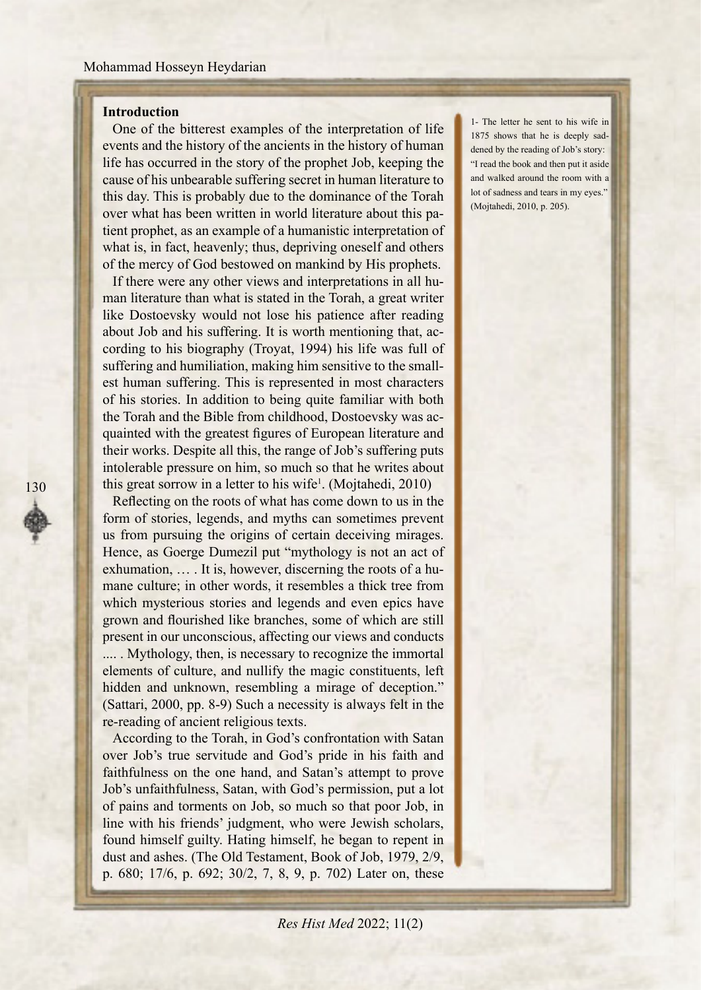# **Introduction**

130

One of the bitterest examples of the interpretation of life events and the history of the ancients in the history of human life has occurred in the story of the prophet Job, keeping the cause of his unbearable suffering secret in human literature to this day. This is probably due to the dominance of the Torah tient prophet, as an example of a humanistic interpretation of over what has been written in world literature about this pawhat is, in fact, heavenly; thus, depriving oneself and others of the mercy of God bestowed on mankind by His prophets.

man literature than what is stated in the Torah, a great writer If there were any other views and interpretations in all hulike Dostoevsky would not lose his patience after reading cording to his biography (Troyat, 1994) his life was full of about Job and his suffering. It is worth mentioning that, acest human suffering. This is represented in most characters suffering and humiliation, making him sensitive to the smallof his stories. In addition to being quite familiar with both quainted with the greatest figures of European literature and the Torah and the Bible from childhood, Dostoevsky was actheir works. Despite all this, the range of Job's suffering puts intolerable pressure on him, so much so that he writes about this great sorrow in a letter to his wife<sup>1</sup>. (Mojtahedi, 2010)

Reflecting on the roots of what has come down to us in the form of stories, legends, and myths can sometimes prevent us from pursuing the origins of certain deceiving mirages. Hence, as Goerge Dumezil put "mythology is not an act of mane culture; in other words, it resembles a thick tree from exhumation,  $\dots$  It is, however, discerning the roots of a huwhich mysterious stories and legends and even epics have grown and flourished like branches, some of which are still present in our unconscious, affecting our views and conducts

..... Mythology, then, is necessary to recognize the immortal elements of culture, and nullify the magic constituents, left hidden and unknown, resembling a mirage of deception."  $t$  (Sattari, 2000, pp. 8-9) Such a necessity is always felt in the re-reading of ancient religious texts.

According to the Torah, in God's confrontation with Satan over Job's true servitude and God's pride in his faith and faithfulness on the one hand, and Satan's attempt to prove Job's unfaithfulness, Satan, with God's permission, put a lot of pains and torments on Job, so much so that poor Job, in line with his friends' judgment, who were Jewish scholars, found himself guilty. Hating himself, he began to repent in dust and ashes. (The Old Testament, Book of Job, 1979, 2/9, p. 680; 17/6, p. 692; 30/2, 7, 8, 9, p. 702) Later on, these

1- The letter he sent to his wife in dened by the reading of Job's story: 1875 shows that he is deeply sad-"I read the book and then put it aside and walked around the room with a lot of sadness and tears in my eyes." (Mojtahedi, 2010, p. 205).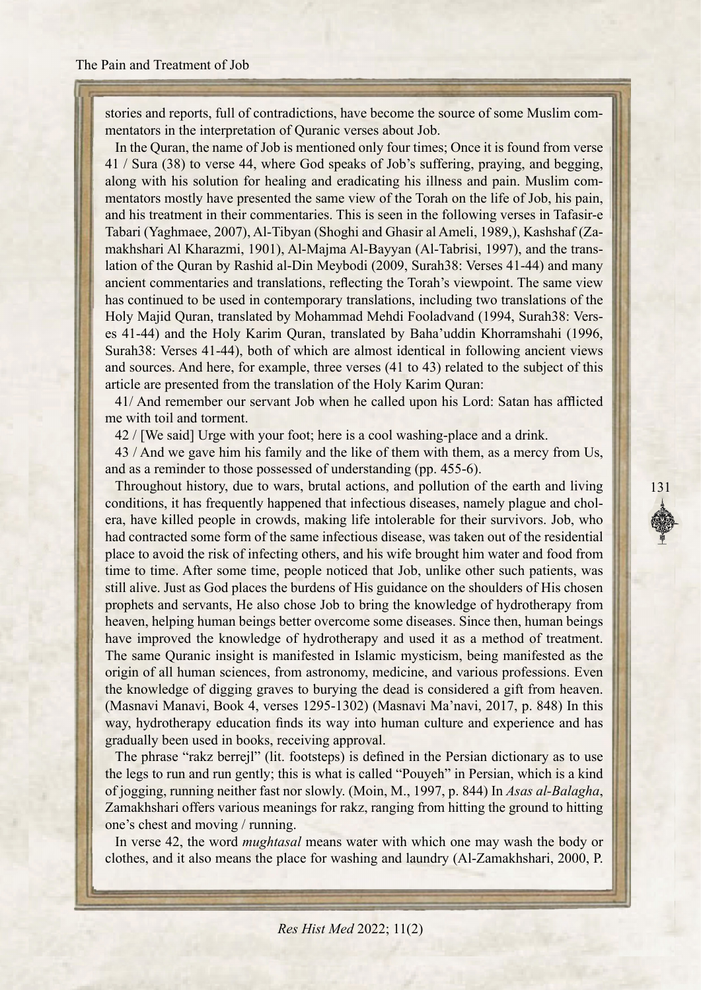stories and reports, full of contradictions, have become the source of some Muslim com-<br>mentators in the interpretation of Quranic verses about Job.

In the Quran, the name of Job is mentioned only four times; Once it is found from verse 41 / Sura (38) to verse 44, where God speaks of Job's suffering, praying, and begging, mentators mostly have presented the same view of the Torah on the life of Job, his pain, along with his solution for healing and eradicating his illness and pain. Muslim comand his treatment in their commentaries. This is seen in the following verses in Tafasir-e lation of the Quran by Rashid al-Din Meybodi (2009, Surah 38: Verses 41-44) and many makhshari Al Kharazmi, 1901), Al-Majma Al-Bayyan (Al-Tabrisi, 1997), and the trans-Tabari (Yaghmaee, 2007), Al-Tibyan (Shoghi and Ghasir al Ameli, 1989,), Kashshaf (Zaancient commentaries and translations, reflecting the Torah's viewpoint. The same view has continued to be used in contemporary translations, including two translations of the es 41-44) and the Holy Karim Quran, translated by Baha'uddin Khorramshahi (1996, Holy Majid Quran, translated by Mohammad Mehdi Fooladvand (1994, Surah38: Vers-Surah 38: Verses 41-44), both of which are almost identical in following ancient views and sources. And here, for example, three verses (41 to 43) related to the subject of this article are presented from the translation of the Holy Karim Quran:

41/ And remember our servant Job when he called upon his Lord: Satan has afflicted me with toil and torment.

 $42$  / [We said] Urge with your foot; here is a cool washing-place and a drink.

 $43$  / And we gave him his family and the like of them with them, as a mercy from Us, and as a reminder to those possessed of understanding (pp. 455-6).

Throughout history, due to wars, brutal actions, and pollution of the earth and living era, have killed people in crowds, making life intolerable for their survivors. Job, who conditions, it has frequently happened that infectious diseases, namely plague and cholhad contracted some form of the same infectious disease, was taken out of the residential place to avoid the risk of infecting others, and his wife brought him water and food from time to time. After some time, people noticed that Job, unlike other such patients, was still alive. Just as God places the burdens of His guidance on the shoulders of His chosen prophets and servants. He also chose Job to bring the knowledge of hydrotherapy from heaven, helping human beings better overcome some diseases. Since then, human beings have improved the knowledge of hydrotherapy and used it as a method of treatment. The same Quranic insight is manifested in Islamic mysticism, being manifested as the origin of all human sciences, from astronomy, medicine, and various professions. Even the knowledge of digging graves to burying the dead is considered a gift from heaven. (Masnavi Manavi, Book 4, verses 1295-1302) (Masnavi Ma'navi, 2017, p. 848) In this way, hydrotherapy education finds its way into human culture and experience and has gradually been used in books, receiving approval.

The phrase "rakz berrejl" (lit. footsteps) is defined in the Persian dictionary as to use the legs to run and run gently; this is what is called "Pouyeh" in Persian, which is a kind of jogging, running neither fast nor slowly. (Moin, M., 1997, p. 844) In *Asas al-Balagha*, Zamakhshari offers various meanings for rakz, ranging from hitting the ground to hitting one's chest and moving / running.

In verse 42, the word *mughtasal* means water with which one may wash the body or clothes, and it also means the place for washing and laundry (Al-Zamakhshari, 2000, P.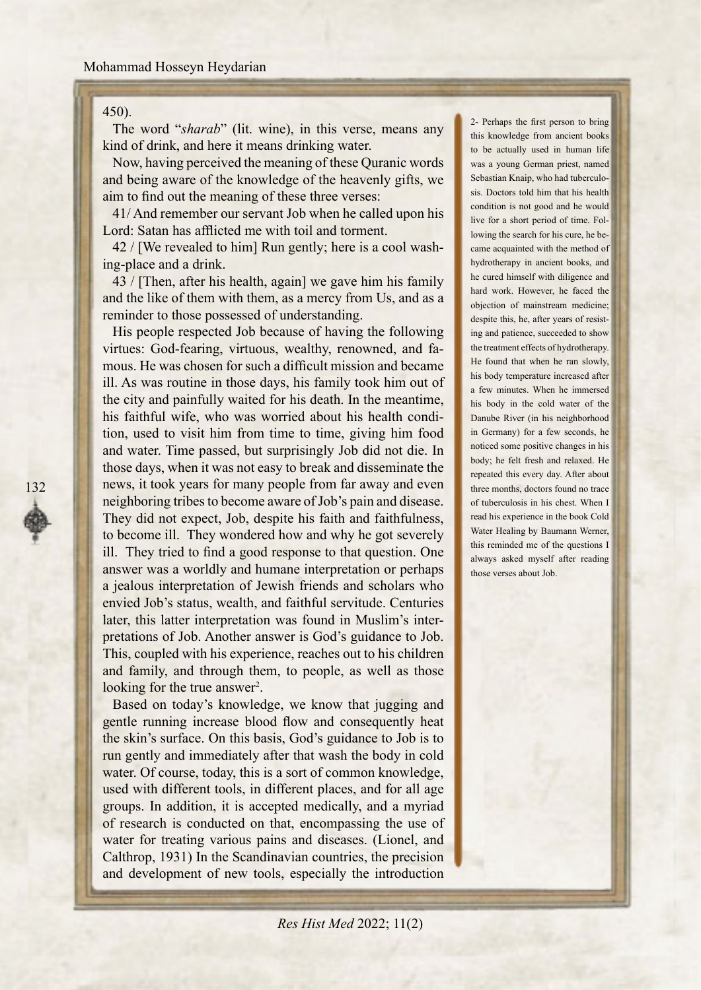#### Mohammad Hosseyn Heydarian

#### $450.$

132

The word "*sharab*" (*lit.* wine), in this verse, means any kind of drink, and here it means drinking water.

Now, having perceived the meaning of these Quranic words and being aware of the knowledge of the heavenly gifts, we aim to find out the meaning of these three verses:

41/ And remember our servant Job when he called upon his Lord: Satan has afflicted me with toil and torment.

 $42$  / [We revealed to him] Run gently; here is a cool washing-place and a drink.

 $\frac{43}{$  [Then, after his health, again] we gave him his family and the like of them with them, as a mercy from Us, and as a reminder to those possessed of understanding.

His people respected Job because of having the following virtues: God-fearing, virtuous, wealthy, renowned, and fa-<br>mous. He was chosen for such a difficult mission and became ill. As was routine in those days, his family took him out of the city and painfully waited for his death. In the meantime, tion, used to visit him from time to time, giving him food his faithful wife, who was worried about his health condiand water. Time passed, but surprisingly Job did not die. In those days, when it was not easy to break and disseminate the news, it took years for many people from far away and even neighboring tribes to become aware of Job's pain and disease. They did not expect, Job, despite his faith and faithfulness, to become ill. They wondered how and why he got severely. ill. They tried to find a good response to that question. One answer was a worldly and humane interpretation or perhaps a jealous interpretation of Jewish friends and scholars who envied Job's status, wealth, and faithful servitude. Centuries pretations of Job. Another answer is God's guidance to Job. later, this latter interpretation was found in Muslim's inter-This, coupled with his experience, reaches out to his children and family, and through them, to people, as well as those looking for the true answer<sup>2</sup>.

Based on today's knowledge, we know that jugging and gentle running increase blood flow and consequently heat the skin's surface. On this basis, God's guidance to Job is to run gently and immediately after that wash the body in cold water. Of course, today, this is a sort of common knowledge, used with different tools, in different places, and for all age groups. In addition, it is accepted medically, and a myriad of research is conducted on that, encompassing the use of water for treating various pains and diseases. (Lionel, and  $Calthrop, 1931$ ) In the Scandinavian countries, the precision and development of new tools, especially the introduction

2- Perhaps the first person to bring this knowledge from ancient books to be actually used in human life was a young German priest, named Sebastian Knaip, who had tuberculo-<br>sis. Doctors told him that his health condition is not good and he would came acquainted with the method of lowing the search for his cure, he belive for a short period of time. Folhydrotherapy in ancient books, and he cured himself with diligence and hard work. However, he faced the objection of mainstream medicine; ing and patience, succeeded to show despite this, he, after years of resistthe treatment effects of hydrotherapy. He found that when he ran slowly, his body temperature increased after a few minutes. When he immersed his body in the cold water of the Danube River (in his neighborhood in Germany) for a few seconds, he noticed some positive changes in his body; he felt fresh and relaxed. He repeated this every day. After about three months, doctors found no trace of tuberculosis in his chest When I read his experience in the book Cold Water Healing by Baumann Werner, this reminded me of the questions I always asked myself after reading those verses about Job.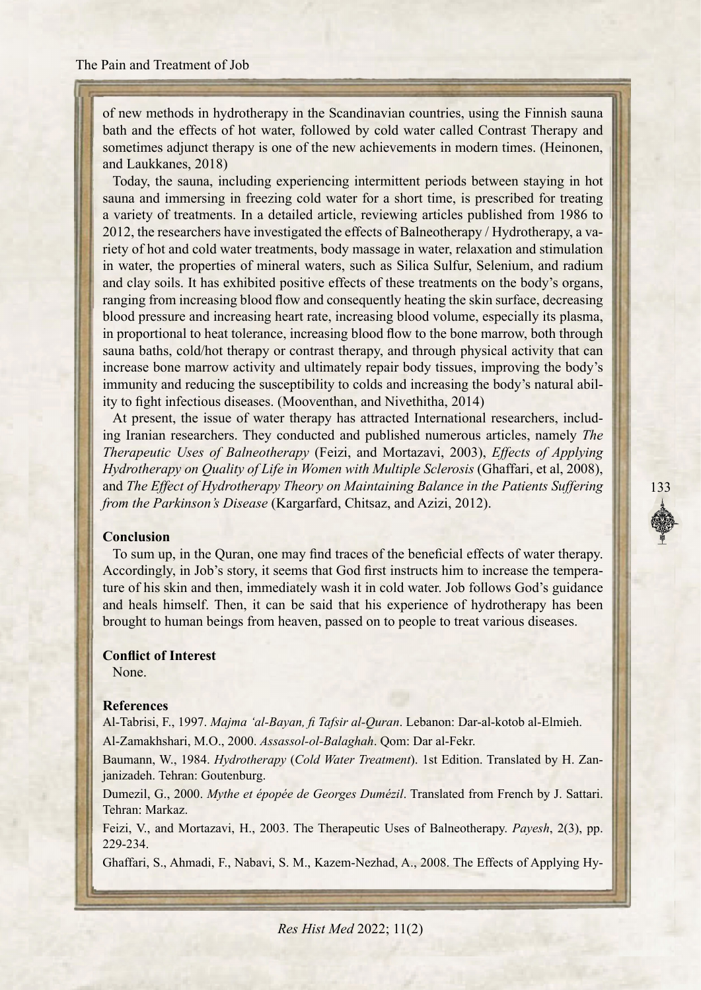of new methods in hydrotherapy in the Scandinavian countries, using the Finnish sauna bath and the effects of hot water, followed by cold water called Contrast Therapy and sometimes adjunct therapy is one of the new achievements in modern times. (Heinonen, and Laukkanes, 2018)

Today, the sauna, including experiencing intermittent periods between staying in hot sauna and immersing in freezing cold water for a short time, is prescribed for treating a variety of treatments. In a detailed article, reviewing articles published from 1986 to riety of hot and cold water treatments, body massage in water, relaxation and stimulation 2012, the researchers have investigated the effects of Balneotherapy / Hydrotherapy, a vain water, the properties of mineral waters, such as Silica Sulfur, Selenium, and radium and clay soils. It has exhibited positive effects of these treatments on the body's organs, ranging from increasing blood flow and consequently heating the skin surface, decreasing blood pressure and increasing heart rate, increasing blood volume, especially its plasma, in proportional to heat tolerance, increasing blood flow to the bone marrow, both through sauna baths, cold/hot therapy or contrast therapy, and through physical activity that can increase bone marrow activity and ultimately repair body tissues, improving the body's immunity and reducing the susceptibility to colds and increasing the body's natural ability to fight infectious diseases. (Mooventhan, and Nivethitha, 2014)

ing Iranian researchers. They conducted and published numerous articles, namely *The* At present, the issue of water therapy has attracted International researchers, includ-*Therapeutic Uses of Balneotherapy* (Feizi, and Mortazavi, 2003), *Effects of Applying* Hydrotherapy on Quality of Life in Women with Multiple Sclerosis (Ghaffari, et al. 2008). and The Effect of Hydrotherapy Theory on Maintaining Balance in the Patients Suffering from the Parkinson's Disease (Kargarfard, Chitsaz, and Azizi, 2012).

# **Conclusion**

To sum up, in the Quran, one may find traces of the beneficial effects of water the rapy. ture of his skin and then, immediately wash it in cold water. Job follows God's guidance Accordingly, in Job's story, it seems that God first instructs him to increase the temperaand heals himself. Then, it can be said that his experience of hydrotherapy has been brought to human beings from heaven, passed on to people to treat various diseases.

# **Conflict of Interest**

None.

# **References**

Al-Tabrisi, F., 1997. Majma 'al-Bayan, fi Tafsir al-Quran. Lebanon: Dar-al-kotob al-Elmieh. Al-Zamakhshari, M.O., 2000. *Assassol-ol-Balaghah*, Oom: Dar al-Fekr.

Baumann, W., 1984. *Hydrotherapy* (Cold Water Treatment). 1st Edition. Translated by H. Zan-<br>janizadeh. Tehran: Goutenburg.

Dumezil, G., 2000. Mythe et épopée de Georges Dumézil. Translated from French by J. Sattari. Tehran: Markaz.

Feizi, V., and Mortazavi, H., 2003. The Therapeutic Uses of Balneotherapy. Payesh, 2(3), pp. 229-234.

Ghaffari, S., Ahmadi, F., Nabavi, S. M., Kazem-Nezhad, A., 2008. The Effects of Applying Hy-